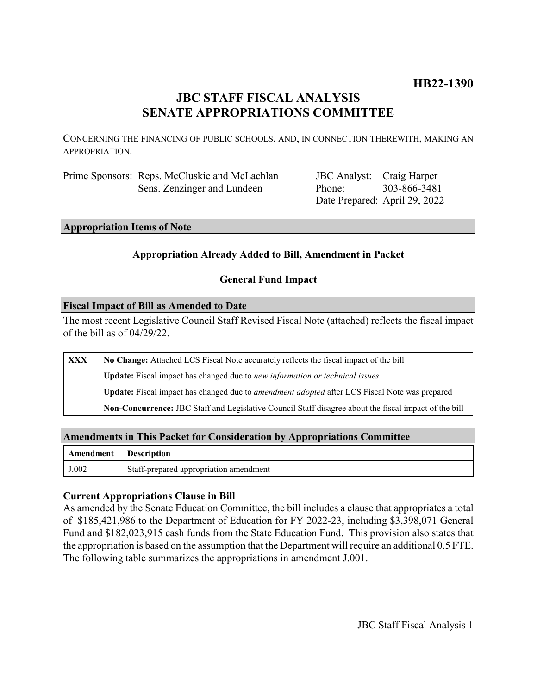## **HB22-1390**

## **JBC STAFF FISCAL ANALYSIS SENATE APPROPRIATIONS COMMITTEE**

CONCERNING THE FINANCING OF PUBLIC SCHOOLS, AND, IN CONNECTION THEREWITH, MAKING AN APPROPRIATION.

| Prime Sponsors: Reps. McCluskie and McLachlan |
|-----------------------------------------------|
| Sens. Zenzinger and Lundeen                   |

JBC Analyst: Craig Harper Phone: Date Prepared: April 29, 2022 303-866-3481

## **Appropriation Items of Note**

### **Appropriation Already Added to Bill, Amendment in Packet**

### **General Fund Impact**

### **Fiscal Impact of Bill as Amended to Date**

The most recent Legislative Council Staff Revised Fiscal Note (attached) reflects the fiscal impact of the bill as of 04/29/22.

| XXX | No Change: Attached LCS Fiscal Note accurately reflects the fiscal impact of the bill                       |  |
|-----|-------------------------------------------------------------------------------------------------------------|--|
|     | <b>Update:</b> Fiscal impact has changed due to new information or technical issues                         |  |
|     | <b>Update:</b> Fiscal impact has changed due to <i>amendment adopted</i> after LCS Fiscal Note was prepared |  |
|     | Non-Concurrence: JBC Staff and Legislative Council Staff disagree about the fiscal impact of the bill       |  |

### **Amendments in This Packet for Consideration by Appropriations Committee**

| <b>Amendment</b> Description |                                        |
|------------------------------|----------------------------------------|
| J.002                        | Staff-prepared appropriation amendment |

### **Current Appropriations Clause in Bill**

As amended by the Senate Education Committee, the bill includes a clause that appropriates a total of \$185,421,986 to the Department of Education for FY 2022-23, including \$3,398,071 General Fund and \$182,023,915 cash funds from the State Education Fund. This provision also states that the appropriation is based on the assumption that the Department will require an additional 0.5 FTE. The following table summarizes the appropriations in amendment J.001.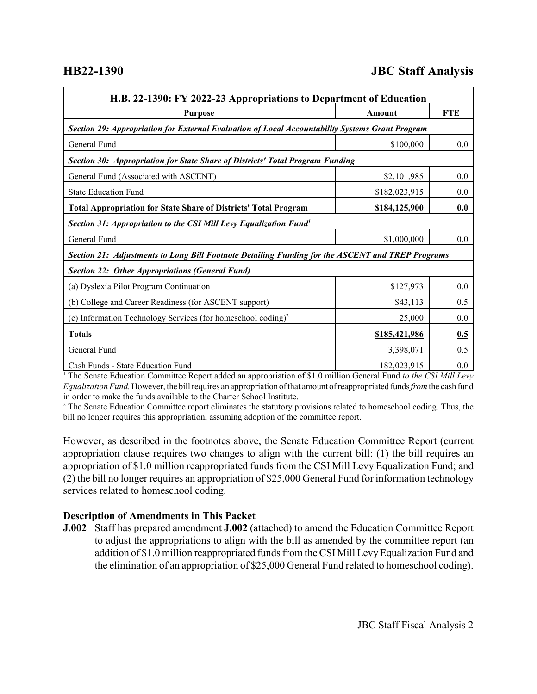# **HB22-1390 JBC Staff Analysis**

| H.B. 22-1390: FY 2022-23 Appropriations to Department of Education                               |               |            |  |  |  |
|--------------------------------------------------------------------------------------------------|---------------|------------|--|--|--|
| <b>Purpose</b>                                                                                   | <b>Amount</b> | <b>FTE</b> |  |  |  |
| Section 29: Appropriation for External Evaluation of Local Accountability Systems Grant Program  |               |            |  |  |  |
| General Fund                                                                                     | \$100,000     | 0.0        |  |  |  |
| Section 30: Appropriation for State Share of Districts' Total Program Funding                    |               |            |  |  |  |
| General Fund (Associated with ASCENT)                                                            | \$2,101,985   | 0.0        |  |  |  |
| <b>State Education Fund</b>                                                                      | \$182,023,915 | 0.0        |  |  |  |
| <b>Total Appropriation for State Share of Districts' Total Program</b>                           | \$184,125,900 | 0.0        |  |  |  |
| Section 31: Appropriation to the CSI Mill Levy Equalization Fund <sup>1</sup>                    |               |            |  |  |  |
| General Fund                                                                                     | \$1,000,000   | 0.0        |  |  |  |
| Section 21: Adjustments to Long Bill Footnote Detailing Funding for the ASCENT and TREP Programs |               |            |  |  |  |
| <b>Section 22: Other Appropriations (General Fund)</b>                                           |               |            |  |  |  |
| (a) Dyslexia Pilot Program Continuation                                                          | \$127,973     | 0.0        |  |  |  |
| (b) College and Career Readiness (for ASCENT support)                                            | \$43,113      | 0.5        |  |  |  |
| (c) Information Technology Services (for homeschool coding) <sup>2</sup>                         | 25,000        | 0.0        |  |  |  |
| <b>Totals</b>                                                                                    | \$185,421,986 | 0.5        |  |  |  |
| General Fund                                                                                     | 3,398,071     | 0.5        |  |  |  |
| Cash Funds - State Education Fund                                                                | 182,023,915   | 0.0        |  |  |  |

<sup>1</sup> The Senate Education Committee Report added an appropriation of \$1.0 million General Fund to the CSI Mill Levy *Equalization Fund.* However, the bill requires an appropriation of that amount of reappropriated funds *from* the cash fund in order to make the funds available to the Charter School Institute.

 $2$  The Senate Education Committee report eliminates the statutory provisions related to homeschool coding. Thus, the bill no longer requires this appropriation, assuming adoption of the committee report.

However, as described in the footnotes above, the Senate Education Committee Report (current appropriation clause requires two changes to align with the current bill: (1) the bill requires an appropriation of \$1.0 million reappropriated funds from the CSI Mill Levy Equalization Fund; and (2) the bill no longer requires an appropriation of \$25,000 General Fund for information technology services related to homeschool coding.

### **Description of Amendments in This Packet**

**J.002** Staff has prepared amendment **J.002** (attached) to amend the Education Committee Report to adjust the appropriations to align with the bill as amended by the committee report (an addition of \$1.0 million reappropriated funds from the CSI Mill Levy Equalization Fund and the elimination of an appropriation of \$25,000 General Fund related to homeschool coding).